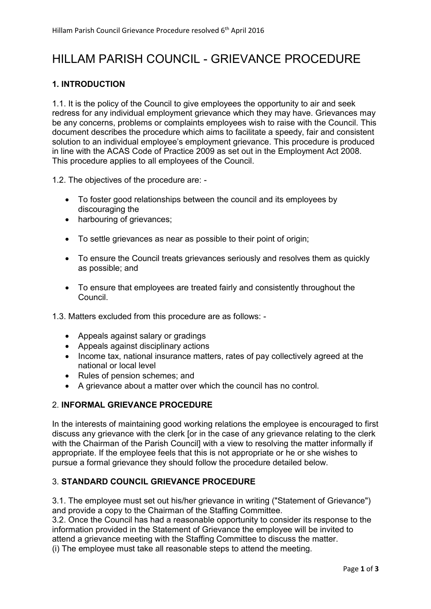# HILLAM PARISH COUNCIL - GRIEVANCE PROCEDURE

## 1. INTRODUCTION

1.1. It is the policy of the Council to give employees the opportunity to air and seek redress for any individual employment grievance which they may have. Grievances may be any concerns, problems or complaints employees wish to raise with the Council. This document describes the procedure which aims to facilitate a speedy, fair and consistent solution to an individual employee's employment grievance. This procedure is produced in line with the ACAS Code of Practice 2009 as set out in the Employment Act 2008. This procedure applies to all employees of the Council.

1.2. The objectives of the procedure are: -

- To foster good relationships between the council and its employees by discouraging the
- harbouring of grievances;
- To settle grievances as near as possible to their point of origin;
- To ensure the Council treats grievances seriously and resolves them as quickly as possible; and
- To ensure that employees are treated fairly and consistently throughout the Council.
- 1.3. Matters excluded from this procedure are as follows:
	- Appeals against salary or gradings
	- Appeals against disciplinary actions
	- Income tax, national insurance matters, rates of pay collectively agreed at the national or local level
	- Rules of pension schemes; and
	- A grievance about a matter over which the council has no control.

## 2. INFORMAL GRIEVANCE PROCEDURE

In the interests of maintaining good working relations the employee is encouraged to first discuss any grievance with the clerk [or in the case of any grievance relating to the clerk with the Chairman of the Parish Councill with a view to resolving the matter informally if appropriate. If the employee feels that this is not appropriate or he or she wishes to pursue a formal grievance they should follow the procedure detailed below.

## 3. STANDARD COUNCIL GRIEVANCE PROCEDURE

3.1. The employee must set out his/her grievance in writing ("Statement of Grievance") and provide a copy to the Chairman of the Staffing Committee.

3.2. Once the Council has had a reasonable opportunity to consider its response to the information provided in the Statement of Grievance the employee will be invited to attend a grievance meeting with the Staffing Committee to discuss the matter.

(i) The employee must take all reasonable steps to attend the meeting.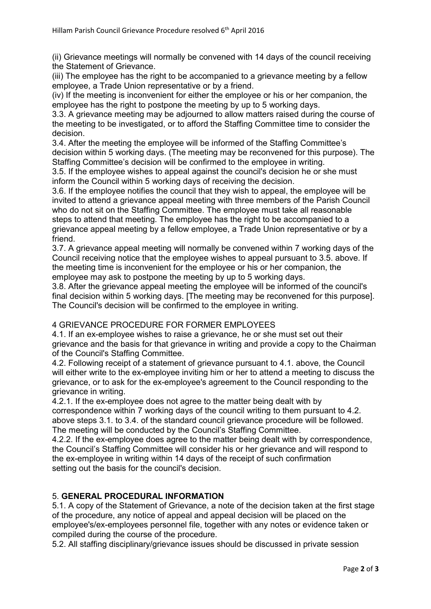(ii) Grievance meetings will normally be convened with 14 days of the council receiving the Statement of Grievance.

(iii) The employee has the right to be accompanied to a grievance meeting by a fellow employee, a Trade Union representative or by a friend.

(iv) If the meeting is inconvenient for either the employee or his or her companion, the employee has the right to postpone the meeting by up to 5 working days.

3.3. A grievance meeting may be adjourned to allow matters raised during the course of the meeting to be investigated, or to afford the Staffing Committee time to consider the decision.

3.4. After the meeting the employee will be informed of the Staffing Committee's decision within 5 working days. (The meeting may be reconvened for this purpose). The Staffing Committee's decision will be confirmed to the employee in writing.

3.5. If the employee wishes to appeal against the council's decision he or she must inform the Council within 5 working days of receiving the decision.

3.6. If the employee notifies the council that they wish to appeal, the employee will be invited to attend a grievance appeal meeting with three members of the Parish Council who do not sit on the Staffing Committee. The employee must take all reasonable steps to attend that meeting. The employee has the right to be accompanied to a grievance appeal meeting by a fellow employee, a Trade Union representative or by a friend.

3.7. A grievance appeal meeting will normally be convened within 7 working days of the Council receiving notice that the employee wishes to appeal pursuant to 3.5. above. If the meeting time is inconvenient for the employee or his or her companion, the employee may ask to postpone the meeting by up to 5 working days.

3.8. After the grievance appeal meeting the employee will be informed of the council's final decision within 5 working days. [The meeting may be reconvened for this purpose]. The Council's decision will be confirmed to the employee in writing.

#### 4 GRIEVANCE PROCEDURE FOR FORMER EMPLOYEES

4.1. If an ex-employee wishes to raise a grievance, he or she must set out their grievance and the basis for that grievance in writing and provide a copy to the Chairman of the Council's Staffing Committee.

4.2. Following receipt of a statement of grievance pursuant to 4.1. above, the Council will either write to the ex-employee inviting him or her to attend a meeting to discuss the grievance, or to ask for the ex-employee's agreement to the Council responding to the grievance in writing.

4.2.1. If the ex-employee does not agree to the matter being dealt with by correspondence within 7 working days of the council writing to them pursuant to 4.2. above steps 3.1. to 3.4. of the standard council grievance procedure will be followed. The meeting will be conducted by the Council's Staffing Committee.

4.2.2. If the ex-employee does agree to the matter being dealt with by correspondence, the Council's Staffing Committee will consider his or her grievance and will respond to the ex-employee in writing within 14 days of the receipt of such confirmation setting out the basis for the council's decision.

#### 5. GENERAL PROCEDURAL INFORMATION

5.1. A copy of the Statement of Grievance, a note of the decision taken at the first stage of the procedure, any notice of appeal and appeal decision will be placed on the employee's/ex-employees personnel file, together with any notes or evidence taken or compiled during the course of the procedure.

5.2. All staffing disciplinary/grievance issues should be discussed in private session